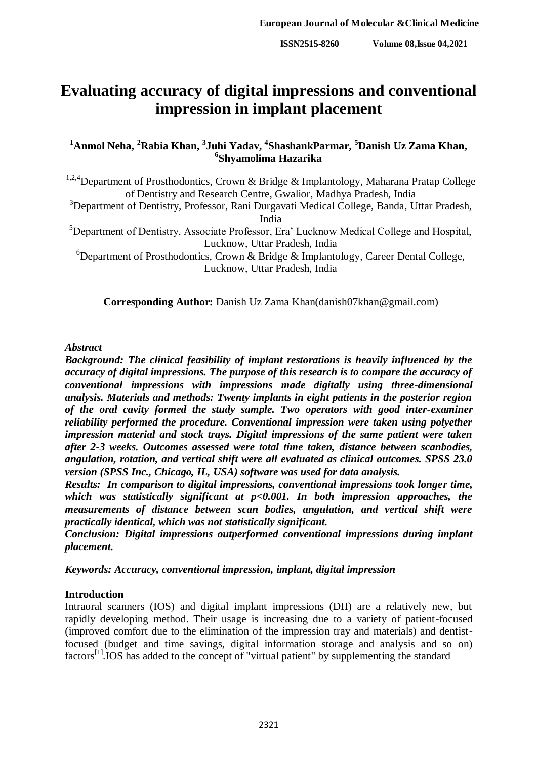# **Evaluating accuracy of digital impressions and conventional impression in implant placement**

# **<sup>1</sup>Anmol Neha, <sup>2</sup>Rabia Khan, 3 Juhi Yadav, 4 ShashankParmar, <sup>5</sup>Danish Uz Zama Khan, 6 Shyamolima Hazarika**

<sup>1,2,4</sup>Department of Prosthodontics, Crown & Bridge & Implantology, Maharana Pratap College of Dentistry and Research Centre, Gwalior, Madhya Pradesh, India

<sup>3</sup>Department of Dentistry, Professor, Rani Durgavati Medical College, Banda, Uttar Pradesh, India

<sup>5</sup>Department of Dentistry, Associate Professor, Era' Lucknow Medical College and Hospital, Lucknow, Uttar Pradesh, India

<sup>6</sup>Department of Prosthodontics, Crown & Bridge & Implantology, Career Dental College, Lucknow, Uttar Pradesh, India

**Corresponding Author:** Danish Uz Zama Khan(danish07khan@gmail.com)

## *Abstract*

*Background: The clinical feasibility of implant restorations is heavily influenced by the accuracy of digital impressions. The purpose of this research is to compare the accuracy of conventional impressions with impressions made digitally using three-dimensional analysis. Materials and methods: Twenty implants in eight patients in the posterior region of the oral cavity formed the study sample. Two operators with good inter-examiner reliability performed the procedure. Conventional impression were taken using polyether impression material and stock trays. Digital impressions of the same patient were taken after 2-3 weeks. Outcomes assessed were total time taken, distance between scanbodies, angulation, rotation, and vertical shift were all evaluated as clinical outcomes. SPSS 23.0 version (SPSS Inc., Chicago, IL, USA) software was used for data analysis.*

*Results: In comparison to digital impressions, conventional impressions took longer time, which was statistically significant at p<0.001. In both impression approaches, the measurements of distance between scan bodies, angulation, and vertical shift were practically identical, which was not statistically significant.*

*Conclusion: Digital impressions outperformed conventional impressions during implant placement.*

*Keywords: Accuracy, conventional impression, implant, digital impression*

## **Introduction**

Intraoral scanners (IOS) and digital implant impressions (DII) are a relatively new, but rapidly developing method. Their usage is increasing due to a variety of patient-focused (improved comfort due to the elimination of the impression tray and materials) and dentistfocused (budget and time savings, digital information storage and analysis and so on) factors[1].IOS has added to the concept of "virtual patient" by supplementing the standard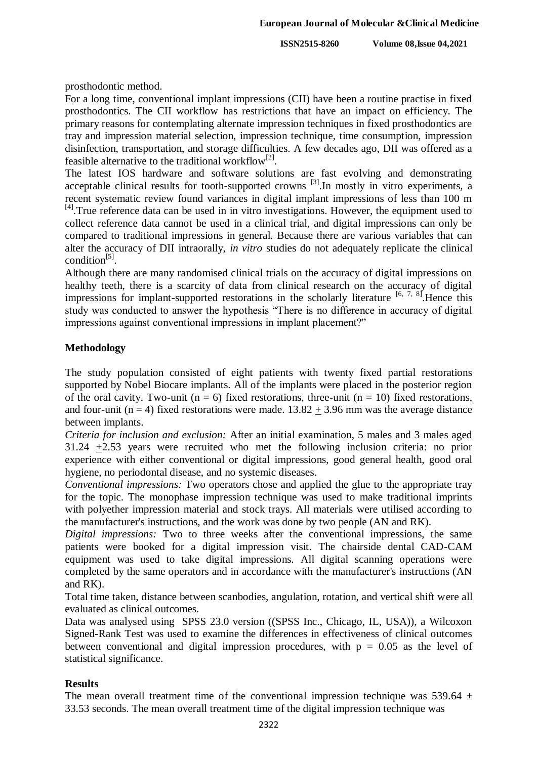**ISSN2515-8260 Volume 08,Issue 04,2021**

prosthodontic method.

For a long time, conventional implant impressions (CII) have been a routine practise in fixed prosthodontics. The CII workflow has restrictions that have an impact on efficiency. The primary reasons for contemplating alternate impression techniques in fixed prosthodontics are tray and impression material selection, impression technique, time consumption, impression disinfection, transportation, and storage difficulties. A few decades ago, DII was offered as a feasible alternative to the traditional workflow<sup>[2]</sup>.

The latest IOS hardware and software solutions are fast evolving and demonstrating acceptable clinical results for tooth-supported crowns  $^{[3]}$ . In mostly in vitro experiments, a recent systematic review found variances in digital implant impressions of less than 100 m  $<sup>[4]</sup>$ . True reference data can be used in in vitro investigations. However, the equipment used to</sup> collect reference data cannot be used in a clinical trial, and digital impressions can only be compared to traditional impressions in general. Because there are various variables that can alter the accuracy of DII intraorally, *in vitro* studies do not adequately replicate the clinical condition $^{[5]}$ .

Although there are many randomised clinical trials on the accuracy of digital impressions on healthy teeth, there is a scarcity of data from clinical research on the accuracy of digital impressions for implant-supported restorations in the scholarly literature  $[6, 7, 8]$ . Hence this study was conducted to answer the hypothesis "There is no difference in accuracy of digital impressions against conventional impressions in implant placement?"

## **Methodology**

The study population consisted of eight patients with twenty fixed partial restorations supported by Nobel Biocare implants. All of the implants were placed in the posterior region of the oral cavity. Two-unit ( $n = 6$ ) fixed restorations, three-unit ( $n = 10$ ) fixed restorations, and four-unit ( $n = 4$ ) fixed restorations were made.  $13.82 + 3.96$  mm was the average distance between implants.

*Criteria for inclusion and exclusion:* After an initial examination, 5 males and 3 males aged 31.24 +2.53 years were recruited who met the following inclusion criteria: no prior experience with either conventional or digital impressions, good general health, good oral hygiene, no periodontal disease, and no systemic diseases.

*Conventional impressions:* Two operators chose and applied the glue to the appropriate tray for the topic. The monophase impression technique was used to make traditional imprints with polyether impression material and stock trays. All materials were utilised according to the manufacturer's instructions, and the work was done by two people (AN and RK).

*Digital impressions:* Two to three weeks after the conventional impressions, the same patients were booked for a digital impression visit. The chairside dental CAD-CAM equipment was used to take digital impressions. All digital scanning operations were completed by the same operators and in accordance with the manufacturer's instructions (AN and RK).

Total time taken, distance between scanbodies, angulation, rotation, and vertical shift were all evaluated as clinical outcomes.

Data was analysed using SPSS 23.0 version ((SPSS Inc., Chicago, IL, USA)), a Wilcoxon Signed-Rank Test was used to examine the differences in effectiveness of clinical outcomes between conventional and digital impression procedures, with  $p = 0.05$  as the level of statistical significance.

## **Results**

The mean overall treatment time of the conventional impression technique was 539.64  $\pm$ 33.53 seconds. The mean overall treatment time of the digital impression technique was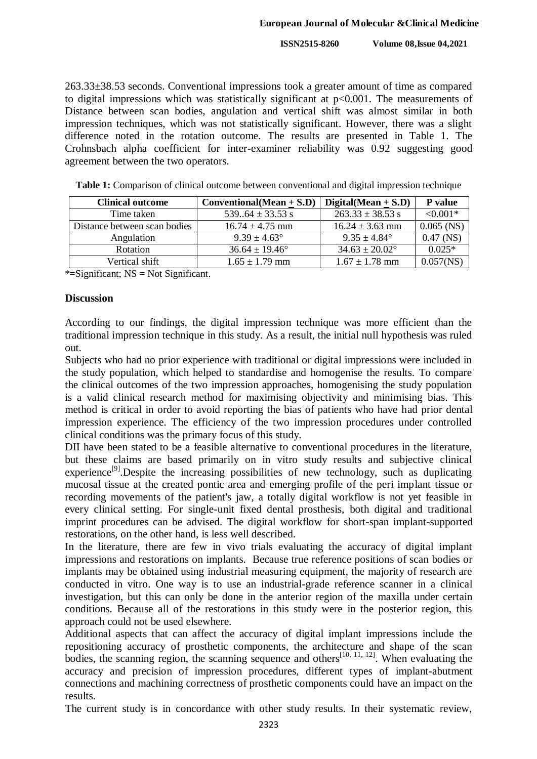263.33±38.53 seconds. Conventional impressions took a greater amount of time as compared to digital impressions which was statistically significant at  $p<0.001$ . The measurements of Distance between scan bodies, angulation and vertical shift was almost similar in both impression techniques, which was not statistically significant. However, there was a slight difference noted in the rotation outcome. The results are presented in Table 1. The Crohnsbach alpha coefficient for inter-examiner reliability was 0.92 suggesting good agreement between the two operators.

| <b>Clinical outcome</b>      | $Conventional(Mean + S.D)$ | Digital(Mean $\pm$ S.D)   | <b>P</b> value |
|------------------------------|----------------------------|---------------------------|----------------|
| Time taken                   | 53964 $\pm$ 33.53 s        | $263.33 \pm 38.53$ s      | $< 0.001*$     |
| Distance between scan bodies | $16.74 \pm 4.75$ mm        | $16.24 \pm 3.63$ mm       | $0.065$ (NS)   |
| Angulation                   | $9.39 + 4.63^{\circ}$      | $9.35 \pm 4.84^{\circ}$   | $0.47$ (NS)    |
| Rotation                     | $36.64 \pm 19.46^{\circ}$  | $34.63 \pm 20.02^{\circ}$ | $0.025*$       |
| Vertical shift               | $1.65 \pm 1.79$ mm         | $1.67 \pm 1.78$ mm        | $0.057$ (NS)   |

**Table 1:** Comparison of clinical outcome between conventional and digital impression technique

 $*$ =Significant; NS = Not Significant.

#### **Discussion**

According to our findings, the digital impression technique was more efficient than the traditional impression technique in this study. As a result, the initial null hypothesis was ruled out.

Subjects who had no prior experience with traditional or digital impressions were included in the study population, which helped to standardise and homogenise the results. To compare the clinical outcomes of the two impression approaches, homogenising the study population is a valid clinical research method for maximising objectivity and minimising bias. This method is critical in order to avoid reporting the bias of patients who have had prior dental impression experience. The efficiency of the two impression procedures under controlled clinical conditions was the primary focus of this study.

DII have been stated to be a feasible alternative to conventional procedures in the literature, but these claims are based primarily on in vitro study results and subjective clinical experience<sup>[9]</sup>.Despite the increasing possibilities of new technology, such as duplicating mucosal tissue at the created pontic area and emerging profile of the peri implant tissue or recording movements of the patient's jaw, a totally digital workflow is not yet feasible in every clinical setting. For single-unit fixed dental prosthesis, both digital and traditional imprint procedures can be advised. The digital workflow for short-span implant-supported restorations, on the other hand, is less well described.

In the literature, there are few in vivo trials evaluating the accuracy of digital implant impressions and restorations on implants. Because true reference positions of scan bodies or implants may be obtained using industrial measuring equipment, the majority of research are conducted in vitro. One way is to use an industrial-grade reference scanner in a clinical investigation, but this can only be done in the anterior region of the maxilla under certain conditions. Because all of the restorations in this study were in the posterior region, this approach could not be used elsewhere.

Additional aspects that can affect the accuracy of digital implant impressions include the repositioning accuracy of prosthetic components, the architecture and shape of the scan bodies, the scanning region, the scanning sequence and others<sup>[10, 11, 12]</sup>. When evaluating the accuracy and precision of impression procedures, different types of implant-abutment connections and machining correctness of prosthetic components could have an impact on the results.

The current study is in concordance with other study results. In their systematic review,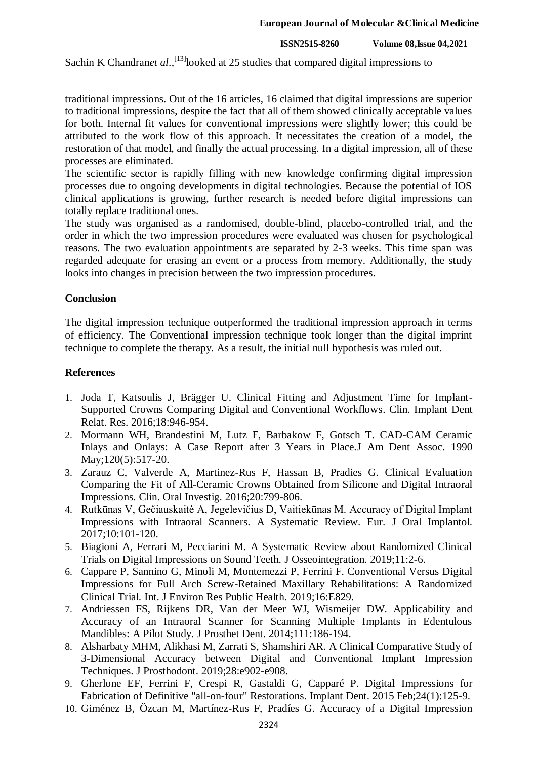#### **ISSN2515-8260 Volume 08,Issue 04,2021**

Sachin K Chandranet al.,<sup>[13]</sup>looked at 25 studies that compared digital impressions to

traditional impressions. Out of the 16 articles, 16 claimed that digital impressions are superior to traditional impressions, despite the fact that all of them showed clinically acceptable values for both. Internal fit values for conventional impressions were slightly lower; this could be attributed to the work flow of this approach. It necessitates the creation of a model, the restoration of that model, and finally the actual processing. In a digital impression, all of these processes are eliminated.

The scientific sector is rapidly filling with new knowledge confirming digital impression processes due to ongoing developments in digital technologies. Because the potential of IOS clinical applications is growing, further research is needed before digital impressions can totally replace traditional ones.

The study was organised as a randomised, double-blind, placebo-controlled trial, and the order in which the two impression procedures were evaluated was chosen for psychological reasons. The two evaluation appointments are separated by 2-3 weeks. This time span was regarded adequate for erasing an event or a process from memory. Additionally, the study looks into changes in precision between the two impression procedures.

### **Conclusion**

The digital impression technique outperformed the traditional impression approach in terms of efficiency. The Conventional impression technique took longer than the digital imprint technique to complete the therapy. As a result, the initial null hypothesis was ruled out.

#### **References**

- 1. Joda T, Katsoulis J, Brägger U. Clinical Fitting and Adjustment Time for Implant-Supported Crowns Comparing Digital and Conventional Workflows. Clin. Implant Dent Relat. Res. 2016;18:946-954.
- 2. Mormann WH, Brandestini M, Lutz F, Barbakow F, Gotsch T. CAD-CAM Ceramic Inlays and Onlays: A Case Report after 3 Years in Place.J Am Dent Assoc. 1990 May:120(5):517-20.
- 3. Zarauz C, Valverde A, Martinez-Rus F, Hassan B, Pradies G. Clinical Evaluation Comparing the Fit of All-Ceramic Crowns Obtained from Silicone and Digital Intraoral Impressions. Clin. Oral Investig. 2016;20:799-806.
- 4. Rutkūnas V, Gečiauskaitė A, Jegelevičius D, Vaitiekūnas M. Accuracy of Digital Implant Impressions with Intraoral Scanners. A Systematic Review. Eur. J Oral Implantol. 2017;10:101-120.
- 5. Biagioni A, Ferrari M, Pecciarini M. A Systematic Review about Randomized Clinical Trials on Digital Impressions on Sound Teeth. J Osseointegration. 2019;11:2-6.
- 6. Cappare P, Sannino G, Minoli M, Montemezzi P, Ferrini F. Conventional Versus Digital Impressions for Full Arch Screw-Retained Maxillary Rehabilitations: A Randomized Clinical Trial. Int. J Environ Res Public Health. 2019;16:E829.
- 7. Andriessen FS, Rijkens DR, Van der Meer WJ, Wismeijer DW. Applicability and Accuracy of an Intraoral Scanner for Scanning Multiple Implants in Edentulous Mandibles: A Pilot Study. J Prosthet Dent. 2014;111:186-194.
- 8. Alsharbaty MHM, Alikhasi M, Zarrati S, Shamshiri AR. A Clinical Comparative Study of 3-Dimensional Accuracy between Digital and Conventional Implant Impression Techniques. J Prosthodont. 2019;28:e902-e908.
- 9. Gherlone EF, Ferrini F, Crespi R, Gastaldi G, Capparé P. Digital Impressions for Fabrication of Definitive "all-on-four" Restorations. Implant Dent. 2015 Feb;24(1):125-9.
- 10. Giménez B, Özcan M, Martínez-Rus F, Pradíes G. Accuracy of a Digital Impression